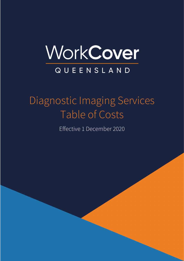

# Diagnostic Imaging Services Table of Costs

Effective 1 December 2020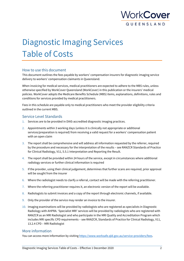

## Diagnostic Imaging Services Table of Costs

#### How to use this document

This document outlines the fees payable by workers' compensation insurers for diagnostic imaging service delivery to workers' compensation claimants in Queensland.

When invoicing for medical services, medical practitioners are expected to adhere to the MBS rules, unless otherwise specified by WorkCover Queensland (WorkCover) in this publication or the insurers' medical policies. WorkCover adopts the Medicare Benefits Schedule (MBS) items, explanations, definitions, rules and conditions for services provided by medical practitioners.

Fees in this schedule are payable only to medical practitioners who meet the provider eligibility criteria outlined in the current MBS.

#### Service Level Standards

- 1. Services are to be provided in DIAS-accredited diagnostic imaging practices.
- 2. Appointments within 3 working days (unless it is clinically not appropriate or additional services/preparation is required) from receiving a valid request for a workers' compensation patient with an open claim
- 3. The report shall be comprehensive and will address all information requested by the referrer, required by the procedure and necessary for the interpretation of the results – see RANZCR Standards of Practice for Clinical Radiology, V11, 5.5.1 Interpretation and Reporting the Result.
- 4. The report shall be provided within 24 hours of the service, except in circumstances where additional radiology services or further clinical information is required
- 5. If the provider, using their clinical judgement, determines that further scans are required, prior approval will be sought from the insurer
- 6. Where the radiologist needs to clarify a referral, contact will be made with the referring practitioner.
- 7. Where the referring practitioner requires it, an electronic version of the report will be available.
- 8. Radiologists to submit invoices and a copy of the report through electronic channels, if available.
- 9. Only the provider of the service may render an invoice to the insurer.
- 10. Imaging examinations will be provided by radiologists who are registered as specialists in Diagnostic Radiology with AHPRA. 'Specialist MRI' services will be provided by radiologists who are registered with RANZCR as an MRI Radiologist and who participate in the MRI Quality and Accreditation Program which includes MRI specific CPD requirements – see RANZCR, Standards of Practice for Clinical Radiology, V11, 13.2.4 CPD – MRI Radiologist

#### More information

You can access more information by visitin[g https://www.worksafe.qld.gov.au/service-providers/fees.](https://www.worksafe.qld.gov.au/service-providers/fees)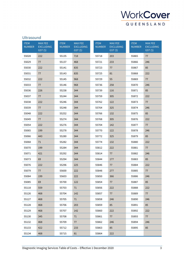

| <b>ITEM</b><br><b>NUMBER</b> | <b>MAX FEE</b><br><b>EXCLUDING</b><br>GST(S) | <b>ITEM</b><br><b>NUMBER</b> | <b>MAX FEE</b><br><b>EXCLUDING</b><br>GST(S) | <b>ITEM</b><br><b>NUMBER</b> | <b>MAX FEE</b><br><b>EXCLUDING</b><br>GST(S) | <b>ITEM</b><br><b>NUMBER</b> | MAX FEE<br><b>EXCLUDING</b><br>GST(S) |
|------------------------------|----------------------------------------------|------------------------------|----------------------------------------------|------------------------------|----------------------------------------------|------------------------------|---------------------------------------|
| 55028                        | 222                                          | 55135                        | 718                                          | 55718                        | 203                                          | 55865                        | 77                                    |
| 55029                        | 77                                           | 55137                        | 468                                          | 55721                        | 233                                          | 55866                        | 246                                   |
| 55030                        | 222                                          | 55141                        | 835                                          | 55723                        | 77                                           | 55867                        | 85                                    |
| 55031                        | 77                                           | 55143                        | 835                                          | 55725                        | 81                                           | 55868                        | 222                                   |
| 55032                        | 222                                          | 55145                        | 968                                          | 55729                        | 55                                           | 55869                        | 77                                    |
| 55033                        | 77                                           | 55146                        | 968                                          | 55736                        | 258                                          | 55870                        | 246                                   |
| 55036                        | 226                                          | 55238                        | 344                                          | 55739                        | 116                                          | 55871                        | 85                                    |
| 55037                        | 77                                           | 55244                        | 344                                          | 55759                        | 305                                          | 55872                        | 222                                   |
| 55038                        | 222                                          | 55246                        | 344                                          | 55762                        | 122                                          | 55873                        | 77                                    |
| 55039                        | 77                                           | 55248                        | 344                                          | 55764                        | 325                                          | 55874                        | 246                                   |
| 55048                        | 222                                          | 55252                        | 344                                          | 55766                        | 132                                          | 55875                        | 85                                    |
| 55049                        | 77                                           | 55274                        | 344                                          | 55768                        | 305                                          | 55876                        | 222                                   |
| 55054                        | 222                                          | 55276                        | 344                                          | 55704                        | 142                                          | 55877                        | 77                                    |
| 55065                        | 199                                          | 55278                        | 344                                          | 55770                        | 122                                          | 55878                        | 246                                   |
| 55066                        | 443                                          | 55280                        | 344                                          | 55772                        | 325                                          | 55879                        | 85                                    |
| 55068                        | 71                                           | 55282                        | 344                                          | 55774                        | 132                                          | 55880                        | 222                                   |
| 55070                        | 199                                          | 55284                        | 344                                          | 55812                        | 222                                          | 55881                        | 77                                    |
| 55071                        | 421                                          | 55292                        | 344                                          | 55814                        | 77                                           | 55882                        | 246                                   |
| 55073                        | 69                                           | 55294                        | 344                                          | 55844                        | 177                                          | 55883                        | 85                                    |
| 55076                        | 222                                          | 55296                        | 225                                          | 55846                        | 77                                           | 55884                        | 222                                   |
| 55079                        | 77                                           | 55600                        | 222                                          | 55848                        | 277                                          | 55885                        | 77                                    |
| 55084                        | 199                                          | 55603                        | 222                                          | 55850                        | 366                                          | 55886                        | 246                                   |
| 55085                        | 69                                           | 55700                        | 122                                          | 55854                        | 77                                           | 55887                        | 85                                    |
| 55118                        | 559                                          | 55703                        | 71                                           | 55856                        | 222                                          | 55888                        | 222                                   |
| 55126                        | 468                                          | 55704                        | 142                                          | 55857                        | 77                                           | 55889                        | 77                                    |
| 55127                        | 468                                          | 55705                        | 71                                           | 55858                        | 246                                          | 55890                        | 246                                   |
| 55128                        | 468                                          | 55706                        | 203                                          | 55859                        | 85                                           | 55891                        | 85                                    |
| 55129                        | 468                                          | 55707                        | 142                                          | 55860                        | 222                                          | 55892                        | 222                                   |
| 55130                        | 345                                          | 55708                        | 71                                           | 55861                        | 77                                           | 55893                        | 77                                    |
| 55132                        | 468                                          | 55709                        | 77                                           | 55862                        | 246                                          | 55894                        | 246                                   |
| 55133                        | 422                                          | 55712                        | 233                                          | 55863                        | 85                                           | 55895                        | 85                                    |
| 55134                        | 468                                          | 55715                        | 81                                           | 55864                        | 222                                          |                              |                                       |

#### Ultrasound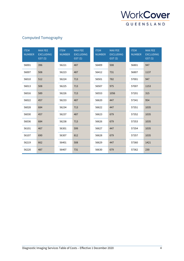

## Computed Tomography

| <b>ITEM</b><br><b>NUMBER</b> | <b>MAX FEE</b><br><b>EXCLUDING</b><br>GST(\$) | <b>ITEM</b><br><b>NUMBER</b> | <b>MAX FEE</b><br><b>EXCLUDING</b><br>GST(S) | <b>ITEM</b><br><b>NUMBER</b> | <b>MAX FEE</b><br><b>EXCLUDING</b><br>GST(\$) | <b>ITEM</b><br><b>NUMBER</b> | <b>MAX FEE</b><br><b>EXCLUDING</b><br>GST(\$) |
|------------------------------|-----------------------------------------------|------------------------------|----------------------------------------------|------------------------------|-----------------------------------------------|------------------------------|-----------------------------------------------|
| 56001                        | 396                                           | 56221                        | 487                                          | 56409                        | 508                                           | 56801                        | 947                                           |
| 56007                        | 508                                           | 56223                        | 487                                          | 56412                        | 731                                           | 56807                        | 1137                                          |
| 56010                        | 512                                           | 56224                        | 713                                          | 56501                        | 782                                           | 57001                        | 947                                           |
| 56013                        | 508                                           | 56225                        | 713                                          | 56507                        | 975                                           | 57007                        | 1153                                          |
| 56016                        | 589                                           | 56226                        | 713                                          | 56553                        | 1056                                          | 57201                        | 315                                           |
| 56022                        | 457                                           | 56233                        | 487                                          | 56620                        | 447                                           | 57341                        | 954                                           |
| 56028                        | 684                                           | 56234                        | 713                                          | 56622                        | 447                                           | 57351                        | 1035                                          |
| 56030                        | 457                                           | 56237                        | 487                                          | 56623                        | 679                                           | 57352                        | 1035                                          |
| 56036                        | 684                                           | 56238                        | 713                                          | 56626                        | 679                                           | 57353                        | 1035                                          |
| 56101                        | 467                                           | 56301                        | 599                                          | 56627                        | 447                                           | 57354                        | 1035                                          |
| 56107                        | 690                                           | 56307                        | 812                                          | 56628                        | 679                                           | 57357                        | 1035                                          |
| 56219                        | 662                                           | 56401                        | 508                                          | 56629                        | 447                                           | 57360                        | 1421                                          |
| 56220                        | 487                                           | 56407                        | 731                                          | 56630                        | 679                                           | 57362                        | 230                                           |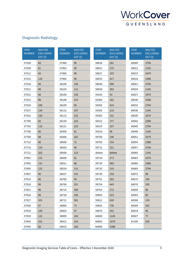

## Diagnostic Radiology

| <b>ITEM</b><br><b>NUMBER</b> | <b>MAX FEE</b><br><b>EXCLUDING</b><br>GST(S) | <b>ITEM</b><br><b>NUMBER</b> | <b>MAX FEE</b><br><b>EXCLUDING</b><br>GST(S) | <b>ITEM</b><br><b>NUMBER</b> | <b>MAX FEE</b><br><b>EXCLUDING</b><br>GST(S) | <b>ITEM</b><br><b>NUMBER</b> | <b>MAX FEE</b><br><b>EXCLUDING</b><br>GST(S) |
|------------------------------|----------------------------------------------|------------------------------|----------------------------------------------|------------------------------|----------------------------------------------|------------------------------|----------------------------------------------|
| 57506                        | 60                                           | 57960                        | 96                                           | 58916                        | 281                                          | 60009                        | 2794                                         |
| 57509                        | 81                                           | 57963                        | 96                                           | 58921                        | 275                                          | 60012                        | 1145                                         |
| 57512                        | 82                                           | 57966                        | 96                                           | 58927                        | 155                                          | 60015                        | 1679                                         |
| 57515                        | 110                                          | 57969                        | 96                                           | 58933                        | 417                                          | 60018                        | 2388                                         |
| 57518                        | 66                                           | 58100                        | 136                                          | 58936                        | 398                                          | 60021                        | 2794                                         |
| 57521                        | 88                                           | 58103                        | 112                                          | 58939                        | 283                                          | 60024                        | 1145                                         |
| 57522                        | 66                                           | 58106                        | 156                                          | 59103                        | 43                                           | 60027                        | 1679                                         |
| 57523                        | 88                                           | 58108                        | 223                                          | 59300                        | 182                                          | 60030                        | 2388                                         |
| 57524                        | 100                                          | 58109                        | 95                                           | 59302                        | 410                                          | 60033                        | 2794                                         |
| 57527                        | 134                                          | 58112                        | 197                                          | 59303                        | 110                                          | 60036                        | 1145                                         |
| 57541                        | 150                                          | 58115                        | 223                                          | 59305                        | 231                                          | 60039                        | 1679                                         |
| 57700                        | 82                                           | 58120                        | 223                                          | 59312                        | 177                                          | 60042                        | 2388                                         |
| 57703                        | 110                                          | 58121                        | 223                                          | 59314                        | 107                                          | 60045                        | 2794                                         |
| 57706                        | 66                                           | 58300                        | 81                                           | 59318                        | 96                                           | 60048                        | 1145                                         |
| 57709                        | 88                                           | 58306                        | 182                                          | 59700                        | 196                                          | 60051                        | 1679                                         |
| 57712                        | 96                                           | 58500                        | 72                                           | 59703                        | 154                                          | 60054                        | 2388                                         |
| 57715                        | 124                                          | 58503                        | 96                                           | 59712                        | 231                                          | 60057                        | 2794                                         |
| 57721                        | 202                                          | 58506                        | 123                                          | delete                       | delete                                       | 60060                        | 1145                                         |
| 57901                        | 131                                          | 58509                        | 81                                           | 59718                        | 273                                          | 60063                        | 1679                                         |
| 57902                        | 131                                          | 58521                        | 88                                           | 59724                        | 460                                          | 60066                        | 2388                                         |
| 57905                        | 131                                          | 58524                        | 115                                          | 59733                        | 219                                          | 60069                        | 2794                                         |
| 57907                        | 96                                           | 58527                        | 141                                          | 59739                        | 150                                          | 60072                        | 98                                           |
| 57915                        | 96                                           | 58700                        | 94                                           | 59751                        | 283                                          | 60075                        | 195                                          |
| 57918                        | 96                                           | 58706                        | 321                                          | 59754                        | 445                                          | 60078                        | 293                                          |
| 57921                        | 96                                           | 58715                        | 308                                          | 59763                        | 272                                          | 60500                        | 88                                           |
| 57924                        | 96                                           | 58718                        | 256                                          | 59903                        | 233                                          | 60503                        | 60                                           |
| 57927                        | 101                                          | 58721                        | 281                                          | 59912                        | 620                                          | 60506                        | 129                                          |
| 57930                        | 67                                           | 58900                        | 73                                           | 59925                        | 736                                          | 60509                        | 201                                          |
| 57933                        | 159                                          | 58903                        | 97                                           | 59970                        | 342                                          | 60918                        | 96                                           |
| 57939                        | 131                                          | 58909                        | 183                                          | 60000                        | 1145                                         | 60927                        | 77                                           |
| 57942                        | 101                                          | 58912                        | 224                                          | 60003                        | 1679                                         | 61109                        | 526                                          |
| 57945                        | 88                                           | 58915                        | 160                                          | 60006                        | 2388                                         |                              |                                              |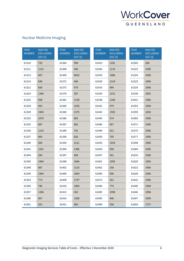

## Nuclear Medicine Imaging

| <b>ITEM</b><br><b>NUMBER</b> | <b>MAX FEE</b><br><b>EXCLUDING</b><br>GST(S) | <b>ITEM</b><br><b>NUMBER</b> | <b>MAX FEE</b><br><b>EXCLUDING</b><br>GST(S) | <b>ITEM</b><br><b>NUMBER</b> | <b>MAX FEE</b><br><b>EXCLUDING</b><br>GST(S) | <b>ITEM</b><br><b>NUMBER</b> | <b>MAX FEE</b><br><b>EXCLUDING</b><br>GST(S) |
|------------------------------|----------------------------------------------|------------------------------|----------------------------------------------|------------------------------|----------------------------------------------|------------------------------|----------------------------------------------|
| 61310                        | 735                                          | 61364                        | 994                                          | 61425                        | 1201                                         | 61505                        | 200                                          |
| 61311                        | 1131                                         | 61368                        | 446                                          | 61426                        | 1110                                         | 61523                        | 1906                                         |
| 61313                        | 607                                          | 61369                        | 4032                                         | 61429                        | 1086                                         | 61524                        | 1906                                         |
| 61314                        | 840                                          | 61372                        | 446                                          | 61430                        | 1319                                         | 61525                        | 1906                                         |
| 61321                        | 658                                          | 61373                        | 979                                          | 61433                        | 994                                          | 61529                        | 1906                                         |
| 61324                        | 1306                                         | 61376                        | 287                                          | 61434                        | 1231                                         | 61538                        | 1802                                         |
| 61325                        | 658                                          | 61381                        | 1149                                         | 61438                        | 1346                                         | 61541                        | 1906                                         |
| 61328                        | 455                                          | 61383                        | 1250                                         | 61441                        | 979                                          | 61553                        | 1998                                         |
| 61329                        | 1964                                         | 61384                        | 1375                                         | 61442                        | 1505                                         | 61559                        | 1836                                         |
| 61332                        | 1670                                         | 61386                        | 665                                          | 61445                        | 574                                          | 61565                        | 1906                                         |
| 61333                        | 887                                          | 61387                        | 862                                          | 61446                        | 667                                          | 61571                        | 1906                                         |
| 61336                        | 1210                                         | 61389                        | 741                                          | 61449                        | 912                                          | 61575                        | 1906                                         |
| 61337                        | 960                                          | 61390                        | 820                                          | 61450                        | 795                                          | 61577                        | 1906                                         |
| 61340                        | 506                                          | 61393                        | 1211                                         | 61453                        | 1029                                         | 61598                        | 1906                                         |
| 61341                        | 1201                                         | 61394                        | 1306                                         | 61454                        | 696                                          | 61604                        | 1906                                         |
| 61344                        | 200                                          | 61397                        | 494                                          | 61457                        | 941                                          | 61610                        | 1906                                         |
| 61345                        | 1964                                         | 61398                        | 1964                                         | 61461                        | 1056                                         | 61620                        | 1906                                         |
| 61348                        | 887                                          | 61402                        | 1210                                         | 61462                        | 258                                          | 61622                        | 1906                                         |
| 61349                        | 1964                                         | 61406                        | 1964                                         | 61469                        | 696                                          | 61628                        | 1906                                         |
| 61353                        | 773                                          | 61409                        | 1747                                         | 61473                        | 351                                          | 61632                        | 1906                                         |
| 61356                        | 786                                          | 61410                        | 1964                                         | 61480                        | 774                                          | 61640                        | 1998                                         |
| 61357                        | 1306                                         | 61413                        | 452                                          | 61485                        | 1998                                         | 61646                        | 1998                                         |
| 61360                        | 807                                          | 61414                        | 1306                                         | 61495                        | 446                                          | 61647                        | 1906                                         |
| 61361                        | 923                                          | 61421                        | 960                                          | 61499                        | 506                                          | 61650                        | 1757                                         |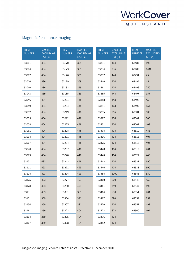

## Magnetic Resonance Imaging

| <b>ITEM</b><br><b>NUMBER</b> | <b>MAX FEE</b><br><b>EXCLUDING</b><br>GST(S) | <b>ITEM</b><br><b>NUMBER</b> | <b>MAX FEE</b><br><b>EXCLUDING</b><br>GST(\$) | <b>ITEM</b><br><b>NUMBER</b> | <b>MAX FEE</b><br><b>EXCLUDING</b><br>GST(S) | <b>ITEM</b><br><b>NUMBER</b> | <b>MAX FEE</b><br><b>EXCLUDING</b><br>GST(\$) |
|------------------------------|----------------------------------------------|------------------------------|-----------------------------------------------|------------------------------|----------------------------------------------|------------------------------|-----------------------------------------------|
| 63001                        | 404                                          | 63170                        | 359                                           | 63331                        | 404                                          | 63487                        | 690                                           |
| 63004                        | 404                                          | 63173                        | 359                                           | 63334                        | 336                                          | 63489                        | 1440                                          |
| 63007                        | 404                                          | 63176                        | 359                                           | 63337                        | 448                                          | 63491                        | 45                                            |
| 63010                        | 336                                          | 63179                        | 359                                           | 63340                        | 404                                          | 63494                        | 45                                            |
| 63040                        | 336                                          | 63182                        | 359                                           | 63361                        | 404                                          | 63496                        | 250                                           |
| 63043                        | 359                                          | 63185                        | 359                                           | 63385                        | 448                                          | 63497                        | 157                                           |
| 63046                        | 404                                          | 63201                        | 448                                           | 63388                        | 448                                          | 63498                        | 45                                            |
| 63049                        | 404                                          | 63204                        | 448                                           | 63391                        | 403                                          | 63499                        | 157                                           |
| 63052                        | 404                                          | 63219                        | 448                                           | 63395                        | 856                                          | 63501                        | 500                                           |
| 63055                        | 404                                          | 63222                        | 448                                           | 63397                        | 856                                          | 63502                        | 500                                           |
| 63058                        | 404                                          | 63225                        | 448                                           | 63401                        | 404                                          | 63507                        | 403                                           |
| 63061                        | 404                                          | 63228                        | 448                                           | 63404                        | 404                                          | 63510                        | 448                                           |
| 63064                        | 404                                          | 63231                        | 448                                           | 63416                        | 404                                          | 63513                        | 404                                           |
| 63067                        | 404                                          | 63234                        | 448                                           | 63425                        | 404                                          | 63516                        | 404                                           |
| 63070                        | 404                                          | 63237                        | 448                                           | 63428                        | 404                                          | 63519                        | 404                                           |
| 63073                        | 404                                          | 63240                        | 448                                           | 63440                        | 404                                          | 63522                        | 448                                           |
| 63101                        | 493                                          | 63243                        | 448                                           | 63443                        | 404                                          | 63531                        | 690                                           |
| 63111                        | 493                                          | 63271                        | 493                                           | 63446                        | 404                                          | 63533                        | 690                                           |
| 63114                        | 493                                          | 63274                        | 493                                           | 63454                        | 1200                                         | 63545                        | 550                                           |
| 63125                        | 493                                          | 63277                        | 493                                           | 63460                        | 600                                          | 63546                        | 550                                           |
| 63128                        | 493                                          | 63280                        | 493                                           | 63461                        | 359                                          | 63547                        | 690                                           |
| 63131                        | 493                                          | 63301                        | 381                                           | 63464                        | 690                                          | 63551                        | 404                                           |
| 63151                        | 359                                          | 63304                        | 381                                           | 63467                        | 690                                          | 63554                        | 359                                           |
| 63154                        | 359                                          | 63307                        | 381                                           | 63470                        | 404                                          | 63557                        | 493                                           |
| 63161                        | 359                                          | 63322                        | 404                                           | 63473                        | 628                                          | 63560                        | 404                                           |
| 63164                        | 359                                          | 63325                        | 404                                           | 63476                        | 404                                          |                              |                                               |
| 63167                        | 359                                          | 63328                        | 404                                           | 63482                        | 404                                          |                              |                                               |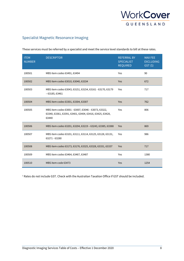

#### Specialist Magnetic Resonance Imaging

| <b>ITEM</b><br><b>NUMBER</b> | <b>DESCRIPTOR</b>                                                                                                       | <b>REFERRAL BY</b><br><b>SPECIALIST</b><br><b>REQUIRED</b> | <b>MAX FEE</b><br><b>EXCLUDING</b><br>GST(S) |
|------------------------------|-------------------------------------------------------------------------------------------------------------------------|------------------------------------------------------------|----------------------------------------------|
| 100501                       | MBS item codes 63491, 63494                                                                                             | Yes                                                        | 90                                           |
| 100502                       | MBS item codes 63010, 63040, 63334                                                                                      | Yes                                                        | 672                                          |
| 100503                       | MBS item codes 63043, 63151, 63154, 63161 - 63170, 63179<br>$-63185, 63461$                                             | Yes                                                        | 717                                          |
| 100504                       | MBS item codes 63301, 63304, 63307                                                                                      | Yes                                                        | 762                                          |
| 100505                       | MBS item codes 63001 - 63007, 63046 - 63073, 63322,<br>63340, 63361, 63391, 63401, 63404, 63416, 63425, 63428,<br>63440 | Yes                                                        | 806                                          |
| 100506                       | MBS item codes 63201, 63204, 63219 - 63243, 63385, 63388                                                                | Yes                                                        | 869                                          |
| 100507                       | MBS item codes 63101, 63111, 63114, 63125, 63128, 63131,<br>63271 - 63280                                               | Yes                                                        | 986                                          |
| 100508                       | MBS item codes 63173, 63176, 63325, 63328, 63331, 63337                                                                 | <b>Yes</b>                                                 | 717                                          |
| 100509                       | MBS item codes 63464, 63467, 63487                                                                                      | Yes                                                        | 1380                                         |
| 100510                       | MBS item code 63473                                                                                                     | Yes                                                        | 1254                                         |

These services must be referred by a specialist and meet the service level standards to bill at these rates.

<sup>1</sup> Rates do not include GST. Check with the Australian Taxation Office if GST should be included.